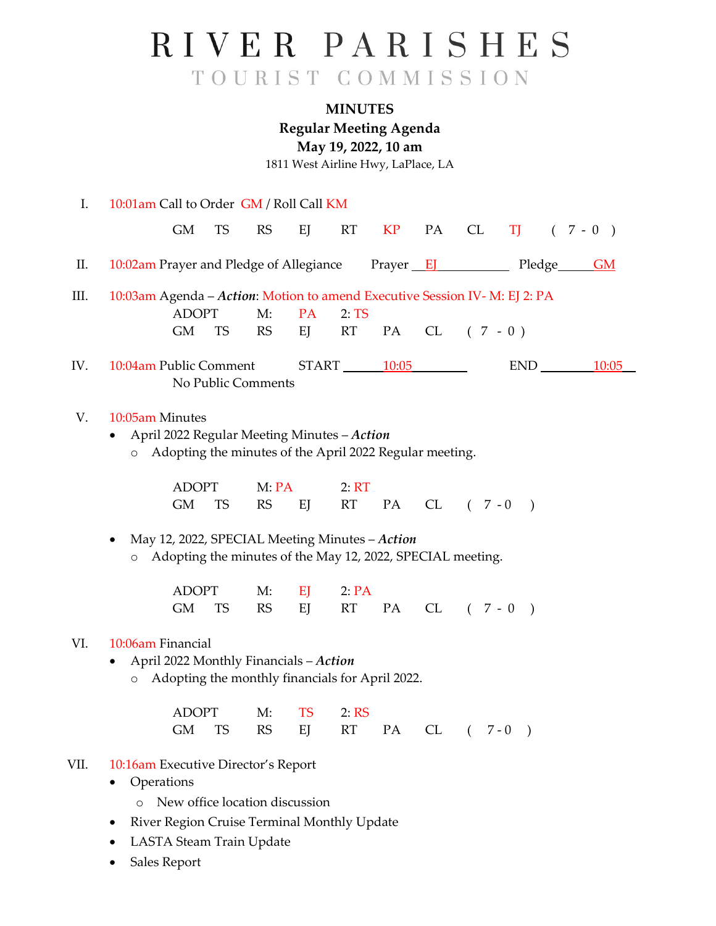## RIVER PARISHES TOURIST COMMISSION

## **MINUTES**

**Regular Meeting Agenda**

**May 19, 2022, 10 am**

1811 West Airline Hwy, LaPlace, LA

| I.   | 10:01am Call to Order GM / Roll Call KM                                                                                              |                                |                 |                 |    |    |                 |               |           |           |
|------|--------------------------------------------------------------------------------------------------------------------------------------|--------------------------------|-----------------|-----------------|----|----|-----------------|---------------|-----------|-----------|
|      | <b>GM</b>                                                                                                                            | <b>TS</b><br><b>RS</b>         | EJ              | RT              | KP | PA | <b>CL</b>       | TJ T          |           | $(7 - 0)$ |
| П.   | 10:02am Prayer and Pledge of Allegiance                                                                                              |                                |                 |                 |    |    |                 |               | Pledge GM |           |
| Ш.   | 10:03am Agenda - Action: Motion to amend Executive Session IV- M: EJ 2: PA<br><b>ADOPT</b><br><b>GM</b>                              | M:<br><b>TS</b><br><b>RS</b>   | PA<br>EJ        | 2:TS<br>RT —    | PA |    | $CL (7 - 0)$    |               |           |           |
| IV.  | 10:04am Public Comment                                                                                                               | No Public Comments             |                 | $START$ $10:05$ |    |    |                 |               | END       | 10:05     |
| V.   | 10:05am Minutes<br>April 2022 Regular Meeting Minutes - Action<br>Adopting the minutes of the April 2022 Regular meeting.<br>$\circ$ |                                |                 |                 |    |    |                 |               |           |           |
|      | <b>ADOPT</b><br><b>GM</b>                                                                                                            | M:PA<br><b>RS</b><br><b>TS</b> | EJ              | 2: RT<br>RT     | PA |    | $CL (7 - 0)$    |               |           |           |
|      | May 12, 2022, SPECIAL Meeting Minutes - Action<br>Adopting the minutes of the May 12, 2022, SPECIAL meeting.<br>$\circ$              |                                |                 |                 |    |    |                 |               |           |           |
|      | <b>ADOPT</b><br><b>GM</b>                                                                                                            | M:<br><b>TS</b><br><b>RS</b>   | EJ<br>EJ        | 2:PA<br>RT      | PA |    | $CL \t (7 - 0)$ | $\rightarrow$ |           |           |
| VI.  | 10:06am Financial<br>April 2022 Monthly Financials - Action<br>Adopting the monthly financials for April 2022.<br>$\circ$            |                                |                 |                 |    |    |                 |               |           |           |
|      | <b>ADOPT</b><br>GМ                                                                                                                   | M:<br><b>TS</b><br><b>RS</b>   | <b>TS</b><br>EJ | 2:RS<br>RT      | PA | CL | $\sqrt{2}$      | $7 - 0$       |           |           |
| VII. | 10:16am Executive Director's Report<br>Operations<br>River Region Cruise Terminal Monthly Update<br>LASTA Steam Train Update         | New office location discussion |                 |                 |    |    |                 |               |           |           |

• Sales Report